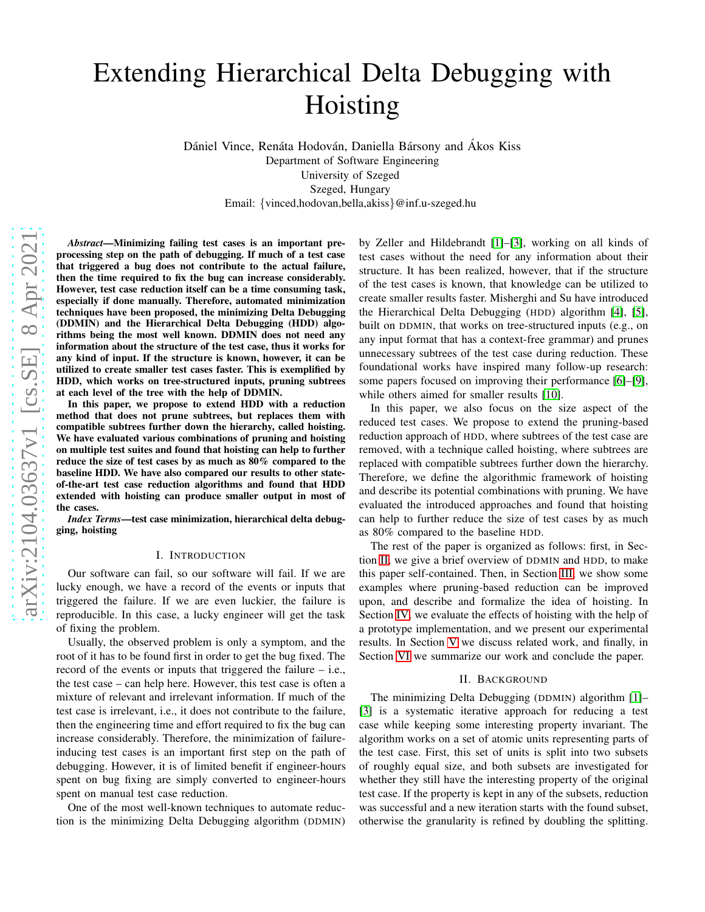# Extending Hierarchical Delta Debugging with Hoisting

Dániel Vince, Renáta Hodován, Daniella Bársony and Ákos Kiss Department of Software Engineering University of Szeged Szeged, Hungary Email: {vinced,hodovan,bella,akiss}@inf.u-szeged.hu

*Abstract*—Minimizing failing test cases is an important preprocessing step on the path of debugging. If much of a test case that triggered a bug does not contribute to the actual failure, then the time required to fix the bug can increase considerably. However, test case reduction itself can be a time consuming task, especially if done manually. Therefore, automated minimization techniques have been proposed, the minimizing Delta Debugging (DDMIN) and the Hierarchical Delta Debugging (HDD) algorithms being the most well known. DDMIN does not need any information about the structure of the test case, thus it works for any kind of input. If the structure is known, however, it can be utilized to create smaller test cases faster. This is exemplified by HDD, which works on tree-structured inputs, pruning subtrees at each level of the tree with the help of DDMIN.

In this paper, we propose to extend HDD with a reduction method that does not prune subtrees, but replaces them with compatible subtrees further down the hierarchy, called hoisting. We have evaluated various combinations of pruning and hoisting on multiple test suites and found that hoisting can help to further reduce the size of test cases by as much as 80% compared to the baseline HDD. We have also compared our results to other stateof-the-art test case reduction algorithms and found that HDD extended with hoisting can produce smaller output in most of the cases.

*Index Terms*—test case minimization, hierarchical delta debugging, hoisting

#### I. INTRODUCTION

Our software can fail, so our software will fail. If we are lucky enough, we have a record of the events or inputs that triggered the failure. If we are even luckier, the failure is reproducible. In this case, a lucky engineer will get the task of fixing the problem.

Usually, the observed problem is only a symptom, and the root of it has to be found first in order to get the bug fixed. The record of the events or inputs that triggered the failure – i.e., the test case – can help here. However, this test case is often a mixture of relevant and irrelevant information. If much of the test case is irrelevant, i.e., it does not contribute to the failure, then the engineering time and effort required to fix the bug can increase considerably. Therefore, the minimization of failureinducing test cases is an important first step on the path of debugging. However, it is of limited benefit if engineer-hours spent on bug fixing are simply converted to engineer-hours spent on manual test case reduction.

One of the most well-known techniques to automate reduction is the minimizing Delta Debugging algorithm (DDMIN) by Zeller and Hildebrandt [\[1\]](#page-9-0)–[\[3\]](#page-9-1), working on all kinds of test cases without the need for any information about their structure. It has been realized, however, that if the structure of the test cases is known, that knowledge can be utilized to create smaller results faster. Misherghi and Su have introduced the Hierarchical Delta Debugging (HDD) algorithm [\[4\]](#page-9-2), [\[5\]](#page-9-3), built on DDMIN, that works on tree-structured inputs (e.g., on any input format that has a context-free grammar) and prunes unnecessary subtrees of the test case during reduction. These foundational works have inspired many follow-up research: some papers focused on improving their performance [\[6\]](#page-9-4)–[\[9\]](#page-9-5), while others aimed for smaller results [\[10\]](#page-9-6).

In this paper, we also focus on the size aspect of the reduced test cases. We propose to extend the pruning-based reduction approach of HDD, where subtrees of the test case are removed, with a technique called hoisting, where subtrees are replaced with compatible subtrees further down the hierarchy. Therefore, we define the algorithmic framework of hoisting and describe its potential combinations with pruning. We have evaluated the introduced approaches and found that hoisting can help to further reduce the size of test cases by as much as 80% compared to the baseline HDD.

The rest of the paper is organized as follows: first, in Section [II,](#page-0-0) we give a brief overview of DDMIN and HDD, to make this paper self-contained. Then, in Section [III,](#page-1-0) we show some examples where pruning-based reduction can be improved upon, and describe and formalize the idea of hoisting. In Section [IV,](#page-5-0) we evaluate the effects of hoisting with the help of a prototype implementation, and we present our experimental results. In Section [V](#page-8-0) we discuss related work, and finally, in Section [VI](#page-9-7) we summarize our work and conclude the paper.

#### II. BACKGROUND

<span id="page-0-0"></span>The minimizing Delta Debugging (DDMIN) algorithm [\[1\]](#page-9-0)– [\[3\]](#page-9-1) is a systematic iterative approach for reducing a test case while keeping some interesting property invariant. The algorithm works on a set of atomic units representing parts of the test case. First, this set of units is split into two subsets of roughly equal size, and both subsets are investigated for whether they still have the interesting property of the original test case. If the property is kept in any of the subsets, reduction was successful and a new iteration starts with the found subset, otherwise the granularity is refined by doubling the splitting.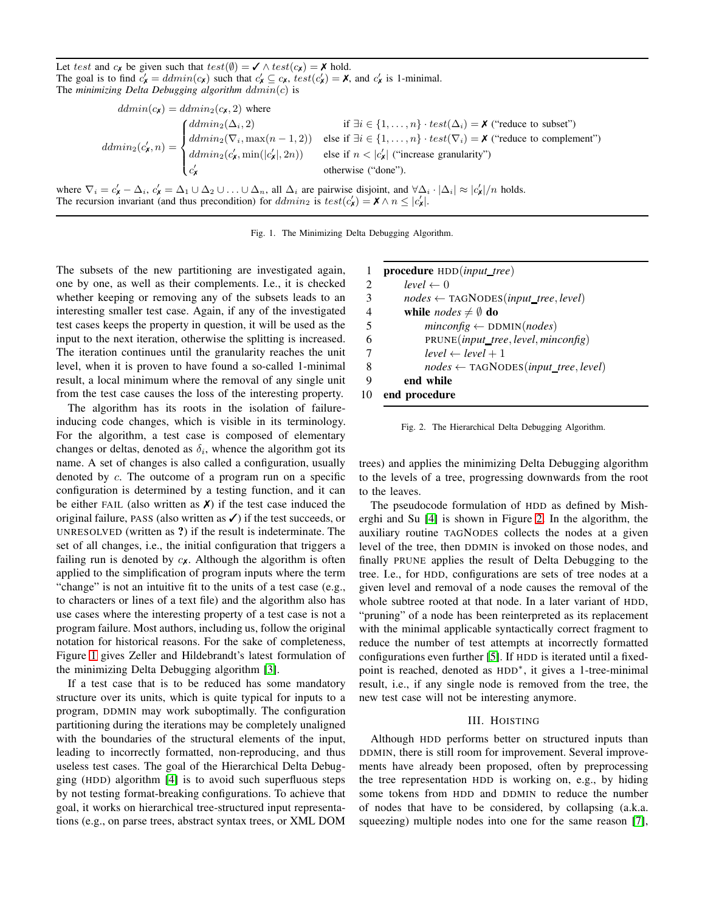Let test and  $c_{\mathbf{x}}$  be given such that  $test(\emptyset) = \mathbf{x} \wedge test(c_{\mathbf{x}}) = \mathbf{x} \text{ hold.}$ The goal is to find  $c'_x = \text{ddmin}(c_x)$  such that  $c'_x \subseteq c_x$ ,  $\text{test}(c'_x) = \mathbf{X}$ , and  $c'_x$  is 1-minimal. The *minimizing Delta Debugging algorithm* ddmin(c) is

$$
ddmin(c_{\mathbf{x}}) = ddmin_{2}(c_{\mathbf{x}}, 2) \text{ where}
$$
  
\n
$$
ddmin_{2}(c_{\mathbf{x}}^{\prime}, n) = \begin{cases} ddmin_{2}(\Delta_{i}, 2) & \text{if } \exists i \in \{1, ..., n\} \cdot test(\Delta_{i}) = \mathbf{X} \text{ ("reduce to subset")} \\ ddmin_{2}(\nabla_{i}, \max(n-1, 2)) & \text{else if } \exists i \in \{1, ..., n\} \cdot test(\nabla_{i}) = \mathbf{X} \text{ ("reduce to complement")} \\ ddmin_{2}(c_{\mathbf{x}}^{\prime}, \min(|c_{\mathbf{x}}^{\prime}|, 2n)) & \text{else if } n < |c_{\mathbf{x}}^{\prime}| \text{ ("increase granularity")} \\ c_{\mathbf{x}}^{\prime} & \text{otherwise ("done").} \end{cases}
$$

where  $\nabla_i = c'_\mathbf{x} - \Delta_i$ ,  $c'_\mathbf{x} = \Delta_1 \cup \Delta_2 \cup \ldots \cup \Delta_n$ , all  $\Delta_i$  are pairwise disjoint, and  $\forall \Delta_i \cdot |\Delta_i| \approx |c'_\mathbf{x}|/n$  holds. The recursion invariant (and thus precondition) for  $ddmin_2$  is  $test(c'_x) = \mathbf{X} \wedge n \leq |c'_x|$ .

<span id="page-1-1"></span>Fig. 1. The Minimizing Delta Debugging Algorithm.

The subsets of the new partitioning are investigated again, one by one, as well as their complements. I.e., it is checked whether keeping or removing any of the subsets leads to an interesting smaller test case. Again, if any of the investigated test cases keeps the property in question, it will be used as the input to the next iteration, otherwise the splitting is increased. The iteration continues until the granularity reaches the unit level, when it is proven to have found a so-called 1-minimal result, a local minimum where the removal of any single unit from the test case causes the loss of the interesting property.

The algorithm has its roots in the isolation of failureinducing code changes, which is visible in its terminology. For the algorithm, a test case is composed of elementary changes or deltas, denoted as  $\delta_i$ , whence the algorithm got its name. A set of changes is also called a configuration, usually denoted by c. The outcome of a program run on a specific configuration is determined by a testing function, and it can be either FAIL (also written as  $\chi$ ) if the test case induced the original failure, PASS (also written as  $\checkmark$ ) if the test succeeds, or UNRESOLVED (written as ?) if the result is indeterminate. The set of all changes, i.e., the initial configuration that triggers a failing run is denoted by  $c_{\mathbf{X}}$ . Although the algorithm is often applied to the simplification of program inputs where the term "change" is not an intuitive fit to the units of a test case (e.g., to characters or lines of a text file) and the algorithm also has use cases where the interesting property of a test case is not a program failure. Most authors, including us, follow the original notation for historical reasons. For the sake of completeness, Figure [1](#page-1-1) gives Zeller and Hildebrandt's latest formulation of the minimizing Delta Debugging algorithm [\[3\]](#page-9-1).

If a test case that is to be reduced has some mandatory structure over its units, which is quite typical for inputs to a program, DDMIN may work suboptimally. The configuration partitioning during the iterations may be completely unaligned with the boundaries of the structural elements of the input, leading to incorrectly formatted, non-reproducing, and thus useless test cases. The goal of the Hierarchical Delta Debugging (HDD) algorithm [\[4\]](#page-9-2) is to avoid such superfluous steps by not testing format-breaking configurations. To achieve that goal, it works on hierarchical tree-structured input representations (e.g., on parse trees, abstract syntax trees, or XML DOM

| 1  | $procedure HDD(input\_tree)$                                 |
|----|--------------------------------------------------------------|
| 2  | $level \leftarrow 0$                                         |
| 3  | $nodes \leftarrow \text{TAGNODES}(input\_tree, level)$       |
| 4  | while <i>nodes</i> $\neq$ $\emptyset$ do                     |
| 5  | $minconfig \leftarrow \text{DDMIN}(nodes)$                   |
| 6  | PRUNE( <i>input_tree</i> , <i>level</i> , <i>minconfig</i> ) |
|    | $level \leftarrow level + 1$                                 |
| 8  | $nodes \leftarrow \text{TAGNODES}(input\_tree, level)$       |
| 9  | end while                                                    |
| 10 | end procedure                                                |

<span id="page-1-2"></span>Fig. 2. The Hierarchical Delta Debugging Algorithm.

trees) and applies the minimizing Delta Debugging algorithm to the levels of a tree, progressing downwards from the root to the leaves.

The pseudocode formulation of HDD as defined by Misherghi and Su [\[4\]](#page-9-2) is shown in Figure [2.](#page-1-2) In the algorithm, the auxiliary routine TAGNODES collects the nodes at a given level of the tree, then DDMIN is invoked on those nodes, and finally PRUNE applies the result of Delta Debugging to the tree. I.e., for HDD, configurations are sets of tree nodes at a given level and removal of a node causes the removal of the whole subtree rooted at that node. In a later variant of HDD, "pruning" of a node has been reinterpreted as its replacement with the minimal applicable syntactically correct fragment to reduce the number of test attempts at incorrectly formatted configurations even further [\[5\]](#page-9-3). If HDD is iterated until a fixedpoint is reached, denoted as HDD<sup>\*</sup>, it gives a 1-tree-minimal result, i.e., if any single node is removed from the tree, the new test case will not be interesting anymore.

# III. HOISTING

<span id="page-1-0"></span>Although HDD performs better on structured inputs than DDMIN, there is still room for improvement. Several improvements have already been proposed, often by preprocessing the tree representation HDD is working on, e.g., by hiding some tokens from HDD and DDMIN to reduce the number of nodes that have to be considered, by collapsing (a.k.a. squeezing) multiple nodes into one for the same reason [\[7\]](#page-9-8),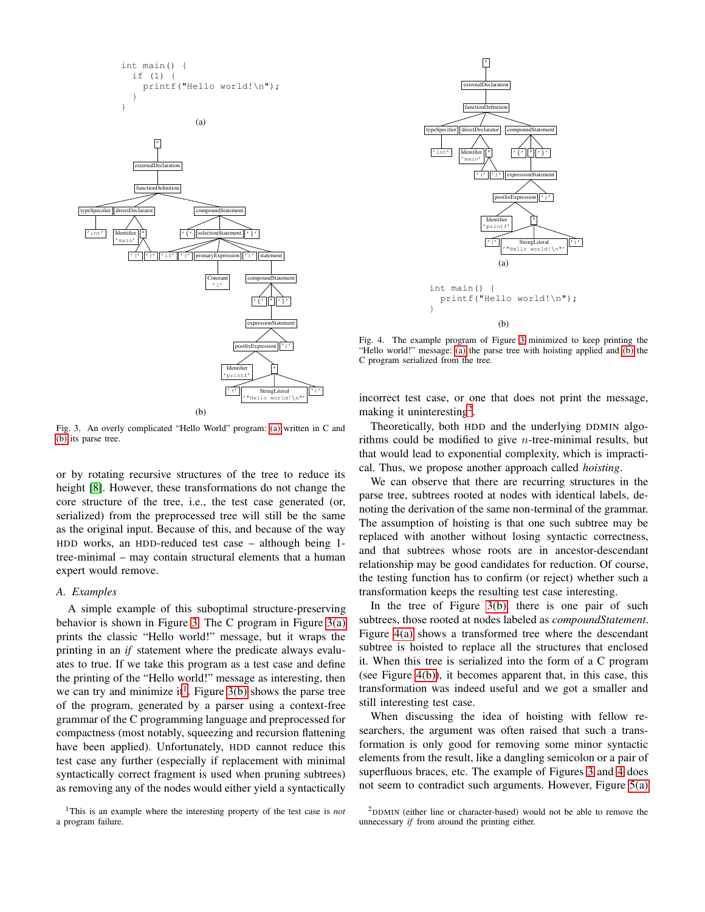<span id="page-2-0"></span>

<span id="page-2-1"></span>

<span id="page-2-2"></span>Fig. 3. An overly complicated "Hello World" program: [\(a\)](#page-2-0) written in C and [\(b\)](#page-2-1) its parse tree.

or by rotating recursive structures of the tree to reduce its height [\[8\]](#page-9-9). However, these transformations do not change the core structure of the tree, i.e., the test case generated (or, serialized) from the preprocessed tree will still be the same as the original input. Because of this, and because of the way HDD works, an HDD-reduced test case – although being 1 tree-minimal – may contain structural elements that a human expert would remove.

#### <span id="page-2-8"></span>*A. Examples*

A simple example of this suboptimal structure-preserving behavior is shown in Figure [3.](#page-2-2) The C program in Figure [3\(a\)](#page-2-0) prints the classic "Hello world!" message, but it wraps the printing in an *if* statement where the predicate always evaluates to true. If we take this program as a test case and define the printing of the "Hello world!" message as interesting, then we can try and minimize it<sup>[1](#page-2-3)</sup>. Figure  $3(b)$  shows the parse tree of the program, generated by a parser using a context-free grammar of the C programming language and preprocessed for compactness (most notably, squeezing and recursion flattening have been applied). Unfortunately, HDD cannot reduce this test case any further (especially if replacement with minimal syntactically correct fragment is used when pruning subtrees) as removing any of the nodes would either yield a syntactically

<span id="page-2-3"></span>

<span id="page-2-4"></span>

<span id="page-2-7"></span><span id="page-2-5"></span>Fig. 4. The example program of Figure [3](#page-2-2) minimized to keep printing the "Hello world!" message: [\(a\)](#page-2-4) the parse tree with hoisting applied and [\(b\)](#page-2-5) the C program serialized from the tree.

incorrect test case, or one that does not print the message, making it uninteresting<sup>[2](#page-2-6)</sup>.

Theoretically, both HDD and the underlying DDMIN algorithms could be modified to give n-tree-minimal results, but that would lead to exponential complexity, which is impractical. Thus, we propose another approach called *hoisting*.

We can observe that there are recurring structures in the parse tree, subtrees rooted at nodes with identical labels, denoting the derivation of the same non-terminal of the grammar. The assumption of hoisting is that one such subtree may be replaced with another without losing syntactic correctness, and that subtrees whose roots are in ancestor-descendant relationship may be good candidates for reduction. Of course, the testing function has to confirm (or reject) whether such a transformation keeps the resulting test case interesting.

In the tree of Figure [3\(b\),](#page-2-1) there is one pair of such subtrees, those rooted at nodes labeled as *compoundStatement*. Figure [4\(a\)](#page-2-4) shows a transformed tree where the descendant subtree is hoisted to replace all the structures that enclosed it. When this tree is serialized into the form of a C program (see Figure [4\(b\)\)](#page-2-5), it becomes apparent that, in this case, this transformation was indeed useful and we got a smaller and still interesting test case.

When discussing the idea of hoisting with fellow researchers, the argument was often raised that such a transformation is only good for removing some minor syntactic elements from the result, like a dangling semicolon or a pair of superfluous braces, etc. The example of Figures [3](#page-2-2) and [4](#page-2-7) does not seem to contradict such arguments. However, Figure [5\(a\)](#page-3-0)

<span id="page-2-6"></span><sup>2</sup>DDMIN (either line or character-based) would not be able to remove the unnecessary *if* from around the printing either.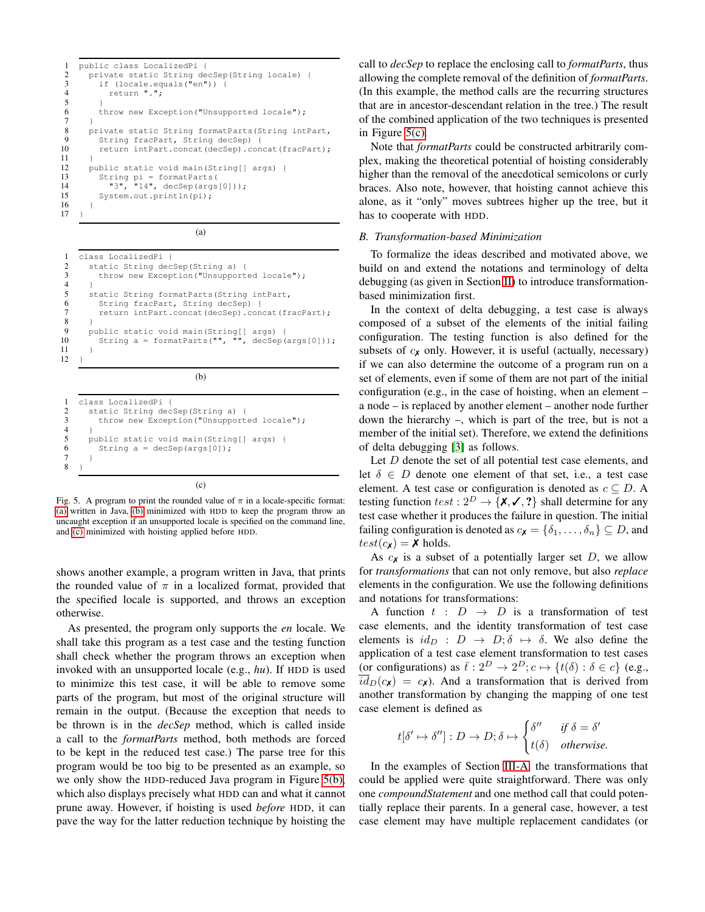```
1 public class LocalizedPi {
2 private static String decSep(String locale) {<br>3 if (locale.equals("en")) {
\begin{array}{lll} 3 & \text{if (locale.equals("en"))} & \ 4 & \text{return "."} \end{array}4 return ".";
\begin{array}{c} 5 \\ 6 \end{array}6 throw new Exception("Unsupported locale");<br>7 }
 7 }
8 private static String formatParts(String intPart,<br>9 String fracPart, String decSep) {
9 String fracPart, String decSep) {<br>10 return intPart.concat(decSep).com
           10 return intPart.concat(decSep).concat(fracPart);
11 }
12 public static void main(String[] args) {<br>13 String pi = formatParts(
13 String pi = formatParts(
14 "3", "14", decSep(args[0]));
15 System.out.println(pi);
16 }
17 \t3
```
(a)

```
1 class LocalizedPi {
2 static String decSep(String a) {
3 throw new Exception("Unsupported locale");
\overline{4}5 static String formatParts(String intPart,<br>6 String fracPart, String decSep) {
6 String fracPart, String decSep) {
         7 return intPart.concat(decSep).concat(fracPart);
8 }
9 public static void main(String[] args) {<br>10 String a = formatParts("", "", decSep(args[0]));
         String a = formatParts("", "11 }
12 }
```
(b)

```
1 class LocalizedPi {
2 static String decSep(String a) {<br>3 throw new Exception("Unsupport
         throw new Exception("Unsupported locale");
\frac{4}{5}5 public static void main(String[] args) {<br>6 String a = decSep(args[0]);
6 String a = decSep(args[0]);
       \}8 }
                                    (c)
```
<span id="page-3-3"></span>Fig. 5. A program to print the rounded value of  $\pi$  in a locale-specific format: [\(a\)](#page-3-0) written in Java, [\(b\)](#page-3-1) minimized with HDD to keep the program throw an uncaught exception if an unsupported locale is specified on the command line, and [\(c\)](#page-3-2) minimized with hoisting applied before HDD.

shows another example, a program written in Java, that prints the rounded value of  $\pi$  in a localized format, provided that the specified locale is supported, and throws an exception otherwise.

As presented, the program only supports the *en* locale. We shall take this program as a test case and the testing function shall check whether the program throws an exception when invoked with an unsupported locale (e.g., *hu*). If HDD is used to minimize this test case, it will be able to remove some parts of the program, but most of the original structure will remain in the output. (Because the exception that needs to be thrown is in the *decSep* method, which is called inside a call to the *formatParts* method, both methods are forced to be kept in the reduced test case.) The parse tree for this program would be too big to be presented as an example, so we only show the HDD-reduced Java program in Figure [5\(b\),](#page-3-1) which also displays precisely what HDD can and what it cannot prune away. However, if hoisting is used *before* HDD, it can pave the way for the latter reduction technique by hoisting the

call to *decSep* to replace the enclosing call to *formatParts*, thus allowing the complete removal of the definition of *formatParts*. (In this example, the method calls are the recurring structures that are in ancestor-descendant relation in the tree.) The result of the combined application of the two techniques is presented in Figure [5\(c\).](#page-3-2)

Note that *formatParts* could be constructed arbitrarily complex, making the theoretical potential of hoisting considerably higher than the removal of the anecdotical semicolons or curly braces. Also note, however, that hoisting cannot achieve this alone, as it "only" moves subtrees higher up the tree, but it has to cooperate with HDD.

# *B. Transformation-based Minimization*

To formalize the ideas described and motivated above, we build on and extend the notations and terminology of delta debugging (as given in Section [II\)](#page-0-0) to introduce transformationbased minimization first.

In the context of delta debugging, a test case is always composed of a subset of the elements of the initial failing configuration. The testing function is also defined for the subsets of  $c_{\mathbf{X}}$  only. However, it is useful (actually, necessary) if we can also determine the outcome of a program run on a set of elements, even if some of them are not part of the initial configuration (e.g., in the case of hoisting, when an element – a node – is replaced by another element – another node further down the hierarchy –, which is part of the tree, but is not a member of the initial set). Therefore, we extend the definitions of delta debugging [\[3\]](#page-9-1) as follows.

Let  $D$  denote the set of all potential test case elements, and let  $\delta \in D$  denote one element of that set, i.e., a test case element. A test case or configuration is denoted as  $c \subseteq D$ . A testing function test :  $2^D \rightarrow \{X, \checkmark, \checkmark\}$  shall determine for any test case whether it produces the failure in question. The initial failing configuration is denoted as  $c_{\mathbf{X}} = {\delta_1, \ldots, \delta_n} \subseteq D$ , and  $test(c_{\mathbf{x}}) = \mathbf{X}$  holds.

As  $c_{\mathbf{X}}$  is a subset of a potentially larger set  $D$ , we allow for *transformations* that can not only remove, but also *replace* elements in the configuration. We use the following definitions and notations for transformations:

A function  $t : D \rightarrow D$  is a transformation of test case elements, and the identity transformation of test case elements is  $id_D$  :  $D \rightarrow D; \delta \mapsto \delta$ . We also define the application of a test case element transformation to test cases (or configurations) as  $\bar{t}: 2^D \to 2^D; c \mapsto \{t(\delta): \delta \in c\}$  (e.g.,  $\overline{id}_D(c_{\mathbf{X}}) = c_{\mathbf{X}}$ . And a transformation that is derived from another transformation by changing the mapping of one test case element is defined as

$$
t[\delta' \mapsto \delta''] : D \to D; \delta \mapsto \begin{cases} \delta'' & \text{if } \delta = \delta' \\ t(\delta) & \text{otherwise.} \end{cases}
$$

In the examples of Section [III-A,](#page-2-8) the transformations that could be applied were quite straightforward. There was only one *compoundStatement* and one method call that could potentially replace their parents. In a general case, however, a test case element may have multiple replacement candidates (or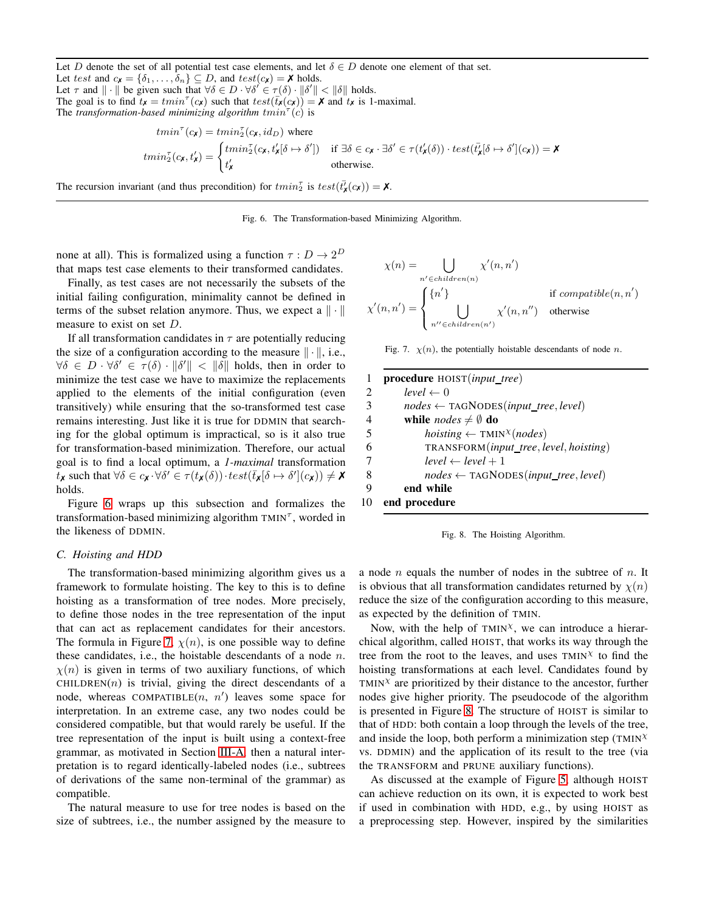Let D denote the set of all potential test case elements, and let  $\delta \in D$  denote one element of that set. Let test and  $c_{\mathbf{X}} = {\delta_1, \ldots, \delta_n} \subseteq D$ , and  $test(c_{\mathbf{X}}) = \mathbf{X}$  holds. Let  $\tau$  and  $\|\cdot\|$  be given such that  $\forall \delta \in D \cdot \forall \delta' \in \tau(\delta) \cdot \|\delta'\| < \|\delta\|$  holds.

The goal is to find  $t_x = tmin^{\tau}(c_x)$  such that  $test(\overline{t_x}(c_x)) = \mathbf{X}$  and  $t_x$  is 1-maximal. The *transformation-based minimizing algorithm*  $tmin^{\tau}(c)$  is

$$
tmin^{\tau}(c_{\mathbf{x}}) = tmin^{\tau}_{2}(c_{\mathbf{x}}, id_{D}) \text{ where}
$$
\n
$$
tmin^{\tau}_{2}(c_{\mathbf{x}}, t'_{\mathbf{x}}) = \begin{cases} tmin^{\tau}_{2}(c_{\mathbf{x}}, t'_{\mathbf{x}}[\delta \mapsto \delta']) & \text{if } \exists \delta \in c_{\mathbf{x}} \cdot \exists \delta' \in \tau(t'_{\mathbf{x}}(\delta)) \cdot test(\bar{t'_{\mathbf{x}}}[\delta \mapsto \delta'](c_{\mathbf{x}})) = \mathbf{X} \\ t'_{\mathbf{x}} & \text{otherwise.} \end{cases}
$$

The recursion invariant (and thus precondition) for  $tmin_2^{\tau}$  is  $test(\bar{t_{\chi}}(c_{\chi})) = \chi$ .

<span id="page-4-0"></span>Fig. 6. The Transformation-based Minimizing Algorithm.

none at all). This is formalized using a function  $\tau : D \to 2^D$ that maps test case elements to their transformed candidates.

Finally, as test cases are not necessarily the subsets of the initial failing configuration, minimality cannot be defined in terms of the subset relation anymore. Thus, we expect a  $\|\cdot\|$ measure to exist on set D.

If all transformation candidates in  $\tau$  are potentially reducing the size of a configuration according to the measure  $\|\cdot\|$ , i.e.,  $\forall \delta \in D \cdot \forall \delta' \in \tau(\delta) \cdot \|\delta'\| < \|\delta\|$  holds, then in order to minimize the test case we have to maximize the replacements applied to the elements of the initial configuration (even transitively) while ensuring that the so-transformed test case remains interesting. Just like it is true for DDMIN that searching for the global optimum is impractical, so is it also true for transformation-based minimization. Therefore, our actual goal is to find a local optimum, a *1-maximal* transformation  $\vec{t}_\mathbf{X}$  such that  $\forall \delta \in c_\mathbf{X} \cdot \forall \delta' \in \tau(t_\mathbf{X}(\delta)) \cdot test(\overline{t}_\mathbf{X}[\delta \mapsto \delta'](c_\mathbf{X})) \neq \mathbf{X}$ holds.

Figure [6](#page-4-0) wraps up this subsection and formalizes the transformation-based minimizing algorithm  $TMIN<sup>T</sup>$ , worded in the likeness of DDMIN.

#### <span id="page-4-3"></span>*C. Hoisting and HDD*

The transformation-based minimizing algorithm gives us a framework to formulate hoisting. The key to this is to define hoisting as a transformation of tree nodes. More precisely, to define those nodes in the tree representation of the input that can act as replacement candidates for their ancestors. The formula in Figure [7,](#page-4-1)  $\chi(n)$ , is one possible way to define these candidates, i.e., the hoistable descendants of a node  $n$ .  $\chi(n)$  is given in terms of two auxiliary functions, of which  $CHILDREN(n)$  is trivial, giving the direct descendants of a node, whereas COMPATIBLE $(n, n')$  leaves some space for interpretation. In an extreme case, any two nodes could be considered compatible, but that would rarely be useful. If the tree representation of the input is built using a context-free grammar, as motivated in Section [III-A,](#page-2-8) then a natural interpretation is to regard identically-labeled nodes (i.e., subtrees of derivations of the same non-terminal of the grammar) as compatible.

The natural measure to use for tree nodes is based on the size of subtrees, i.e., the number assigned by the measure to

$$
\chi(n) = \bigcup_{n' \in children(n)} \chi'(n, n')
$$
  

$$
\chi'(n, n') = \begin{cases} \{n'\} & \text{if compatible}(n, n') \\ \bigcup_{n'' \in children(n')} \chi'(n, n'') & \text{otherwise} \end{cases}
$$

<span id="page-4-1"></span>Fig. 7.  $\chi(n)$ , the potentially hoistable descendants of node *n*.

 procedure HOIST(*input tree*)  $level \leftarrow 0$  $nodes \leftarrow \text{TAGNODES}(input\_tree, level)$ 4 while  $nodes \neq \emptyset$  do *hoisting*  $\leftarrow$  TMIN<sup>X</sup>(*nodes*) TRANSFORM(*input tree*, *level*, *hoisting*)  $level \leftarrow level + 1$  *nodes* ← TAGNODES(*input tree*, *level*) end while end procedure

<span id="page-4-2"></span>

a node  $n$  equals the number of nodes in the subtree of  $n$ . It is obvious that all transformation candidates returned by  $\chi(n)$ reduce the size of the configuration according to this measure, as expected by the definition of TMIN.

Now, with the help of  $TMIN^{\chi}$ , we can introduce a hierarchical algorithm, called HOIST, that works its way through the tree from the root to the leaves, and uses  $TMIN^{\chi}$  to find the hoisting transformations at each level. Candidates found by TMIN $X$  are prioritized by their distance to the ancestor, further nodes give higher priority. The pseudocode of the algorithm is presented in Figure [8.](#page-4-2) The structure of HOIST is similar to that of HDD: both contain a loop through the levels of the tree, and inside the loop, both perform a minimization step (TMIN $^{\chi}$ ) vs. DDMIN) and the application of its result to the tree (via the TRANSFORM and PRUNE auxiliary functions).

As discussed at the example of Figure [5,](#page-3-3) although HOIST can achieve reduction on its own, it is expected to work best if used in combination with HDD, e.g., by using HOIST as a preprocessing step. However, inspired by the similarities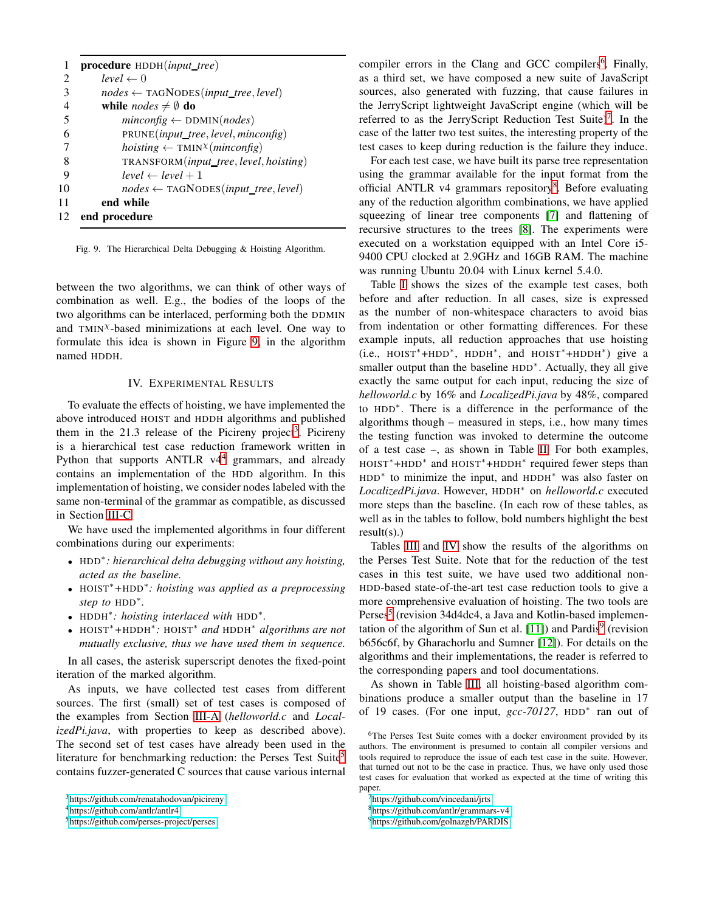|    | procedure HDDH(input_tree)                                          |
|----|---------------------------------------------------------------------|
| 2  | $level \leftarrow 0$                                                |
| 3  | $nodes \leftarrow \text{TAGNODES}(input\_tree, level)$              |
| 4  | while <i>nodes</i> $\neq$ $\emptyset$ do                            |
| 5  | $minconfig \leftarrow \text{DDMIN}(nodes)$                          |
| 6  | PRUNE(input_tree, level, minconfig)                                 |
| 7  | hoisting $\leftarrow$ TMIN <sup><math>\chi</math></sup> (minconfig) |
| 8  | TRANSFORM(input_tree, level, hoisting)                              |
| 9  | $level \leftarrow level + 1$                                        |
| 10 | $nodes \leftarrow \text{TAGNODES}(input\_tree, level)$              |
| 11 | end while                                                           |
| 12 | end procedure                                                       |

<span id="page-5-1"></span>Fig. 9. The Hierarchical Delta Debugging & Hoisting Algorithm.

between the two algorithms, we can think of other ways of combination as well. E.g., the bodies of the loops of the two algorithms can be interlaced, performing both the DDMIN and  $TMIN^{\chi}$ -based minimizations at each level. One way to formulate this idea is shown in Figure [9,](#page-5-1) in the algorithm named HDDH.

# IV. EXPERIMENTAL RESULTS

<span id="page-5-0"></span>To evaluate the effects of hoisting, we have implemented the above introduced HOIST and HDDH algorithms and published them in the 21.[3](#page-5-2) release of the Picireny project<sup>3</sup>. Picireny is a hierarchical test case reduction framework written in Python that supports  $ANTLR$   $v4<sup>4</sup>$  $v4<sup>4</sup>$  $v4<sup>4</sup>$  grammars, and already contains an implementation of the HDD algorithm. In this implementation of hoisting, we consider nodes labeled with the same non-terminal of the grammar as compatible, as discussed in Section [III-C.](#page-4-3)

We have used the implemented algorithms in four different combinations during our experiments:

- HDD<sup>∗</sup> *: hierarchical delta debugging without any hoisting, acted as the baseline.*
- HOIST<sup>∗</sup>*+*HDD<sup>∗</sup> *: hoisting was applied as a preprocessing step to* HDD<sup>∗</sup> *.*
- HDDH<sup>∗</sup> *: hoisting interlaced with* HDD<sup>∗</sup> *.*
- HOIST∗*+*HDDH<sup>∗</sup> *:* HOIST<sup>∗</sup> *and* HDDH<sup>∗</sup> *algorithms are not mutually exclusive, thus we have used them in sequence.*

In all cases, the asterisk superscript denotes the fixed-point iteration of the marked algorithm.

As inputs, we have collected test cases from different sources. The first (small) set of test cases is composed of the examples from Section [III-A](#page-2-8) (*helloworld.c* and *LocalizedPi.java*, with properties to keep as described above). The second set of test cases have already been used in the literature for benchmarking reduction: the Perses Test Suite<sup>[5](#page-5-4)</sup> contains fuzzer-generated C sources that cause various internal

compiler errors in the Clang and GCC compilers<sup>[6](#page-5-5)</sup>. Finally, as a third set, we have composed a new suite of JavaScript sources, also generated with fuzzing, that cause failures in the JerryScript lightweight JavaScript engine (which will be referred to as the JerryScript Reduction Test Suite)<sup>[7](#page-5-6)</sup>. In the case of the latter two test suites, the interesting property of the test cases to keep during reduction is the failure they induce.

For each test case, we have built its parse tree representation using the grammar available for the input format from the official ANTLR v4 grammars repository<sup>[8](#page-5-7)</sup>. Before evaluating any of the reduction algorithm combinations, we have applied squeezing of linear tree components [\[7\]](#page-9-8) and flattening of recursive structures to the trees [\[8\]](#page-9-9). The experiments were executed on a workstation equipped with an Intel Core i5- 9400 CPU clocked at 2.9GHz and 16GB RAM. The machine was running Ubuntu 20.04 with Linux kernel 5.4.0.

Table [I](#page-6-0) shows the sizes of the example test cases, both before and after reduction. In all cases, size is expressed as the number of non-whitespace characters to avoid bias from indentation or other formatting differences. For these example inputs, all reduction approaches that use hoisting (i.e., HOIST<sup>∗</sup>+HDD<sup>∗</sup> , HDDH<sup>∗</sup> , and HOIST<sup>∗</sup>+HDDH<sup>∗</sup> ) give a smaller output than the baseline HDD<sup>\*</sup>. Actually, they all give exactly the same output for each input, reducing the size of *helloworld.c* by 16% and *LocalizedPi.java* by 48%, compared to HDD<sup>∗</sup> . There is a difference in the performance of the algorithms though – measured in steps, i.e., how many times the testing function was invoked to determine the outcome of a test case –, as shown in Table [II.](#page-6-1) For both examples, HOIST<sup>\*</sup>+HDD<sup>\*</sup> and HOIST<sup>\*</sup>+HDDH<sup>\*</sup> required fewer steps than HDD<sup>\*</sup> to minimize the input, and HDDH<sup>\*</sup> was also faster on *LocalizedPi.java*. However, HDDH<sup>∗</sup> on *helloworld.c* executed more steps than the baseline. (In each row of these tables, as well as in the tables to follow, bold numbers highlight the best result(s).)

Tables [III](#page-6-2) and [IV](#page-6-3) show the results of the algorithms on the Perses Test Suite. Note that for the reduction of the test cases in this test suite, we have used two additional non-HDD-based state-of-the-art test case reduction tools to give a more comprehensive evaluation of hoisting. The two tools are Perses<sup>5</sup> (revision 34d4dc4, a Java and Kotlin-based implemen-tation of the algorithm of Sun et al. [\[11\]](#page-9-10)) and Pardis<sup>[9](#page-5-8)</sup> (revision b656c6f, by Gharachorlu and Sumner [\[12\]](#page-9-11)). For details on the algorithms and their implementations, the reader is referred to the corresponding papers and tool documentations.

As shown in Table [III,](#page-6-2) all hoisting-based algorithm combinations produce a smaller output than the baseline in 17 of 19 cases. (For one input, *gcc-70127*, HDD<sup>∗</sup> ran out of

<sup>3</sup><https://github.com/renatahodovan/picireny>

<span id="page-5-2"></span><sup>4</sup><https://github.com/antlr/antlr4>

<span id="page-5-4"></span><span id="page-5-3"></span><sup>5</sup><https://github.com/perses-project/perses>

<span id="page-5-5"></span><sup>6</sup>The Perses Test Suite comes with a docker environment provided by its authors. The environment is presumed to contain all compiler versions and tools required to reproduce the issue of each test case in the suite. However, that turned out not to be the case in practice. Thus, we have only used those test cases for evaluation that worked as expected at the time of writing this paper.

<sup>7</sup><https://github.com/vincedani/jrts>

<span id="page-5-6"></span><sup>8</sup><https://github.com/antlr/grammars-v4>

<span id="page-5-8"></span><span id="page-5-7"></span><sup>9</sup><https://github.com/golnazgh/PARDIS>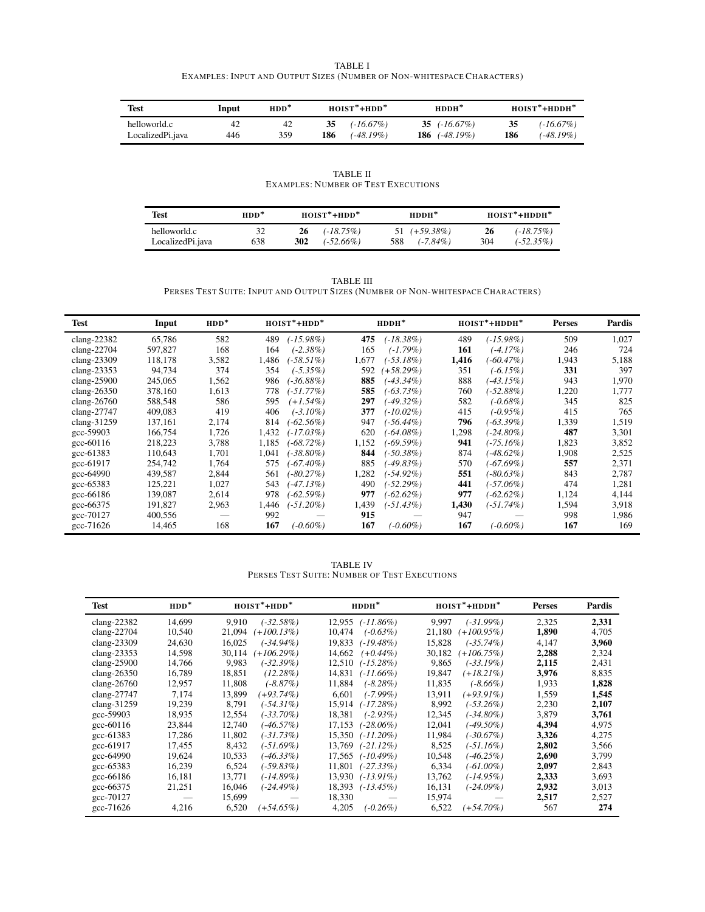| <b>TABLE I</b>                                                         |
|------------------------------------------------------------------------|
| EXAMPLES: INPUT AND OUTPUT SIZES (NUMBER OF NON-WHITESPACE CHARACTERS) |

<span id="page-6-0"></span>

| Test                             | Input     | $HDD^*$   | $HOIST^*+HDD^*$                        | $HDDH^*$                           | $HOIST*+HDDH*$                      |
|----------------------------------|-----------|-----------|----------------------------------------|------------------------------------|-------------------------------------|
| helloworld.c<br>LocalizedPi.java | 42<br>446 | 42<br>359 | $(-16.67\%)$<br>35<br>186<br>(-48.19%) | 35 $(.16.67%)$<br>186 $(.48.19\%)$ | (-16.67%)<br>35<br>186<br>(-48.19%) |

TABLE II EXAMPLES: NUMBER OF TEST EXECUTIONS

<span id="page-6-1"></span>

| <b>Test</b>                      | $HDD^*$   | $HOIST*+HDD*$                             | $HDDH^*$                              | $HOIST*+HDDH*$                            |  |
|----------------------------------|-----------|-------------------------------------------|---------------------------------------|-------------------------------------------|--|
| helloworld.c<br>LocalizedPi.java | 32<br>638 | $(-18.75\%)$<br>26<br>302<br>$(-52.66\%)$ | $51 (+59.38\%)$<br>$(-7.84\%)$<br>588 | $(-18.75\%)$<br>26<br>304<br>$(-52.35\%)$ |  |

TABLE III PERSES TEST SUITE: INPUT AND OUTPUT SIZES (NUMBER OF NON-WHITESPACE CHARACTERS)

<span id="page-6-2"></span>

| Test                                        | Input   | $HDD^*$ |       | $HOIST*+HDD*$ |       | $HDDH^*$     |       | $HOIST*+HDDH*$ | <b>Perses</b> | Pardis |
|---------------------------------------------|---------|---------|-------|---------------|-------|--------------|-------|----------------|---------------|--------|
| clang- $22382$                              | 65,786  | 582     | 489   | $(-15.98\%)$  | 475   | $(-18.38\%)$ | 489   | (-15.98%)      | 509           | 1,027  |
| clang-22704                                 | 597,827 | 168     | 164   | $(-2.38\%)$   | 165   | $(-1.79\%)$  | 161   | $(-4.17%)$     | 246           | 724    |
| clang-23309                                 | 118,178 | 3,582   | 1.486 | $-58.51\%$    | 1.677 | (-53.18%)    | 1.416 | $-60.47\%)$    | 1,943         | 5,188  |
| clang- $23353$                              | 94,734  | 374     | 354   | $(-5.35\%)$   | 592   | $(+58.29\%)$ | 351   | $(-6.15\%)$    | 331           | 397    |
| clang-25900                                 | 245,065 | 1,562   | 986   | $-36.88\%)$   | 885   | $(-43.34\%)$ | 888   | $-43.15\%)$    | 943           | 1,970  |
| clang- $26350$                              | 378,160 | 1,613   | 778   | $-51.77\%)$   | 585   | (-63.73%)    | 760   | (-52.88%)      | 1,220         | 1.777  |
| clang- $26760$                              | 588,548 | 586     | 595   | $(+1.54\%)$   | 297   | $(-49.32\%)$ | 582   | $(-0.68\%)$    | 345           | 825    |
| clang-27747                                 | 409,083 | 419     | 406   | $(-3.10\%)$   | 377   | $(-10.02\%)$ | 415   | $(-0.95\%)$    | 415           | 765    |
| clang-31259                                 | 137,161 | 2,174   | 814   | $-62.56\%)$   | 947   | $(-56.44\%)$ | 796   | $(-63.39\%)$   | 1,339         | 1,519  |
| gcc-59903                                   | 166,754 | 1,726   | 1.432 | $(-17.03\%)$  | 620   | $-64.08\%$   | 1,298 | $-24.80\%$     | 487           | 3,301  |
| $\frac{\text{gcc}-60116}{\text{gcc}-60116}$ | 218,223 | 3,788   | 1.185 | $-68.72\%$    | 1,152 | $-69.59\%)$  | 941   | (-75.16%)      | 1,823         | 3,852  |
| gcc-61383                                   | 110,643 | 1,701   | 1.041 | $-38.80\%$    | 844   | (-50.38%)    | 874   | $(-48.62\%)$   | 1,908         | 2,525  |
| gcc-61917                                   | 254,742 | 1.764   | 575   | $-67.40\%$    | 885   | $-49.83\%$   | 570   | $(-67.69\%)$   | 557           | 2,371  |
| gcc-64990                                   | 439,587 | 2,844   | 561   | $-80.27\%)$   | 1.282 | $(-54.92\%)$ | 551   | $(-80.63\%)$   | 843           | 2,787  |
| $\text{gcc}-65383$                          | 125,221 | 1,027   | 543   | $-47.13\%$    | 490   | (-52.29%)    | 441   | $(-57.06\%)$   | 474           | 1,281  |
| $\frac{\text{gcc}-66186}{\text{gcc}-66186}$ | 139,087 | 2,614   | 978   | $-62.59\%)$   | 977   | $(-62.62\%)$ | 977   | $(-62.62\%)$   | 1,124         | 4,144  |
| gcc-66375                                   | 191,827 | 2,963   | 1.446 | $(-51.20\%)$  | 1.439 | $(-51.43\%)$ | 1,430 | (-51.74%)      | 1,594         | 3,918  |
| gcc-70127                                   | 400,556 |         | 992   |               | 915   |              | 947   |                | 998           | 1,986  |
| $\text{gcc-71626}$                          | 14,465  | 168     | 167   | $-0.60\%$     | 167   | $(-0.60\%)$  | 167   | $(-0.60\%)$    | 167           | 169    |

TABLE IV PERSES TEST SUITE: NUMBER OF TEST EXECUTIONS

<span id="page-6-3"></span>

| Test                                        | $HDD^*$ | $HOIST*+HDD*$ |                         | $HDDH^*$     |        | HOIST*+HDDH*  | <b>Perses</b> | Pardis |
|---------------------------------------------|---------|---------------|-------------------------|--------------|--------|---------------|---------------|--------|
| clang-22382                                 | 14,699  | 9,910         | $(-32.58%)$<br>12.955   | $(-11.86\%)$ | 9,997  | $(-31.99\%)$  | 2,325         | 2,331  |
| clang- $22704$                              | 10,540  | 21,094        | $(+100.13\%)$<br>10.474 | $(-0.63\%)$  | 21,180 | $(+100.95\%)$ | 1,890         | 4,705  |
| clang-23309                                 | 24,630  | 16,025        | $(-34.94\%)$<br>19.833  | $(-19.48\%)$ | 15,828 | $(-35.74\%)$  | 4,147         | 3,960  |
| clang-23353                                 | 14,598  | 30,114        | $(+106.29\%)$<br>14,662 | $(+0.44\%)$  | 30,182 | $(+106.75%)$  | 2,288         | 2,324  |
| $clang-25900$                               | 14,766  | 9,983         | $(-32.39%)$<br>12,510   | $(-15.28%)$  | 9,865  | $(-33.19%)$   | 2,115         | 2,431  |
| clang- $26350$                              | 16,789  | 18,851        | $(12.28\%)$<br>14,831   | $(-11.66\%)$ | 19,847 | $(+18.21\%)$  | 3,976         | 8,835  |
| clang- $26760$                              | 12,957  | 11,808        | $(-8.87%)$<br>11,884    | $(-8.28%)$   | 11,835 | $(-8.66\%)$   | 1,933         | 1,828  |
| clang-27747                                 | 7,174   | 13,899        | $(+93.74\%)$<br>6,601   | (-7.99%)     | 13,911 | $(+93.91\%)$  | 1,559         | 1,545  |
| clang-31259                                 | 19,239  | 8,791         | $(-54.31\%)$<br>15.914  | $(-17.28%)$  | 8,992  | $(-53.26\%)$  | 2,230         | 2,107  |
| gcc-59903                                   | 18,935  | 12,554        | $(-33.70\%)$<br>18,381  | $(-2.93\%)$  | 12,345 | (-34.80%)     | 3,879         | 3,761  |
| gcc-60116                                   | 23,844  | 12,740        | $(-46.57%)$<br>17.153   | $(-28.06\%)$ | 12,041 | $(-49.50\%)$  | 4,394         | 4,975  |
| $\frac{\text{gcc}-61383}{\text{gcc}-61383}$ | 17,286  | 11,802        | $(-31.73%)$<br>15,350   | $(-11.20\%)$ | 11,984 | $(-30.67%)$   | 3,326         | 4,275  |
| gcc-61917                                   | 17,455  | 8,432         | $(-51.69\%)$<br>13,769  | $(-21.12\%)$ | 8,525  | (-51.16%)     | 2,802         | 3,566  |
| $\text{gcc}-64990$                          | 19,624  | 10,533        | $(-46.33\%)$<br>17,565  | $(-10.49\%)$ | 10,548 | $(-46.25%)$   | 2,690         | 3,799  |
| gcc-65383                                   | 16,239  | 6,524         | (-59.83%)<br>11.801     | $(-27.33%)$  | 6,334  | $(-61.00\%)$  | 2,097         | 2,843  |
| $\frac{\text{gcc}-66186}{\text{gcc}-66186}$ | 16,181  | 13,771        | (-14.89%)<br>13,930     | $(-13.91\%)$ | 13,762 | (-14.95%)     | 2,333         | 3,693  |
| $\frac{\text{gcc}-66375}{\text{gcc}-66375}$ | 21,251  | 16,046        | $(-24.49\%)$<br>18,393  | $(-13.45\%)$ | 16,131 | $(-24.09\%)$  | 2,932         | 3,013  |
| gcc-70127                                   |         | 15,699        | 18,330                  |              | 15,974 |               | 2,517         | 2,527  |
| $\frac{\text{gcc}-71626}{\text{gcc}}$       | 4,216   | 6,520         | $(+54.65\%)$<br>4,205   | $(-0.26\%)$  | 6,522  | $(+54.70\%)$  | 567           | 274    |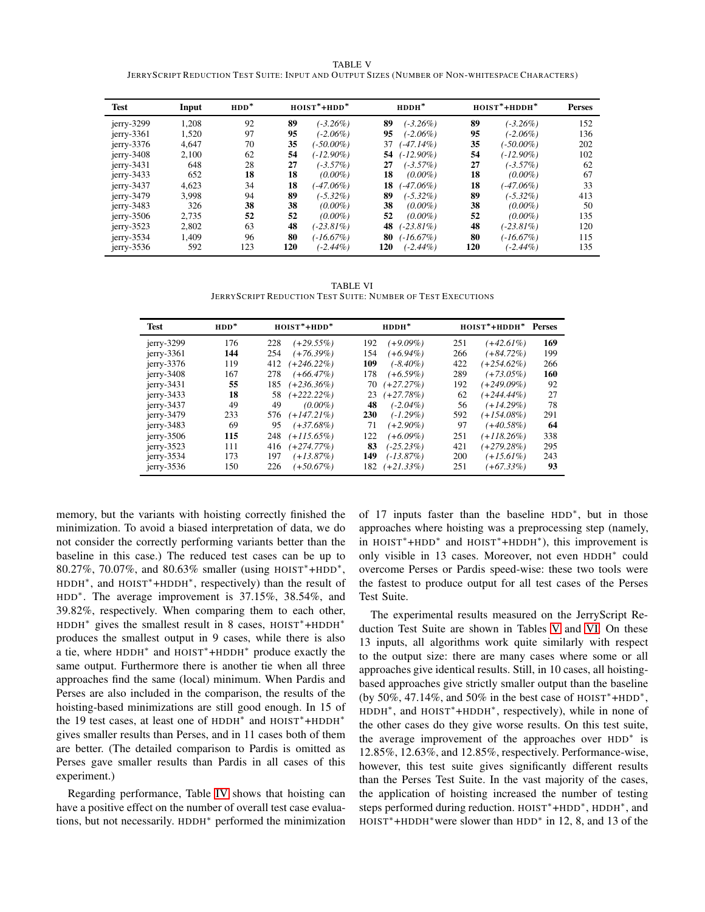TABLE V JERRYSCRIPT REDUCTION TEST SUITE: INPUT AND OUTPUT SIZES (NUMBER OF NON-WHITESPACE CHARACTERS)

<span id="page-7-0"></span>

| Test          | Input | $HDD^*$ |     | $HOIST*+HDD*$ |     | $HDDH^*$     |     | $HOIST*+HDDH*$ | <b>Perses</b> |
|---------------|-------|---------|-----|---------------|-----|--------------|-----|----------------|---------------|
| $i$ erry-3299 | 1,208 | 92      | 89  | $(-3.26\%)$   | 89  | $(-3.26\%)$  | 89  | $(-3.26\%)$    | 152           |
| $jerry-3361$  | 1,520 | 97      | 95  | $(-2.06\%)$   | 95  | $(-2.06\%)$  | 95  | $(-2.06\%)$    | 136           |
| $j$ erry-3376 | 4,647 | 70      | 35  | $(-50.00\%)$  | 37  | $(-47.14\%)$ | 35  | $-50.00\%$     | 202           |
| $i$ erry-3408 | 2,100 | 62      | 54  | $(-12.90\%)$  | 54  | $(-12.90\%)$ | 54  | $(-12.90\%)$   | 102           |
| $jerry-3431$  | 648   | 28      | 27  | $(-3.57\%)$   | 27  | $(-3.57\%)$  | 27  | $(-3.57\%)$    | 62            |
| $jerry-3433$  | 652   | 18      | 18  | $(0.00\%)$    | 18  | $(0.00\%)$   | 18  | $(0.00\%)$     | 67            |
| $jerry-3437$  | 4,623 | 34      | 18  | $(-47.06\%)$  | 18  | $(-47.06\%)$ | 18  | $(-47.06\%)$   | 33            |
| $jerry-3479$  | 3,998 | 94      | 89  | $(-5.32\%)$   | 89  | $(-5.32\%)$  | 89  | $(-5.32\%)$    | 413           |
| $jerry-3483$  | 326   | 38      | 38  | $(0.00\%)$    | 38  | $(0.00\%)$   | 38  | $(0.00\%)$     | 50            |
| $j$ erry-3506 | 2.735 | 52      | 52  | $(0.00\%)$    | 52  | $(0.00\%)$   | 52  | $(0.00\%)$     | 135           |
| $jerry-3523$  | 2,802 | 63      | 48  | $(-23.81\%)$  | 48  | $(-23.81\%)$ | 48  | $(-23.81\%)$   | 120           |
| $jerry-3534$  | 1.409 | 96      | 80  | (-16.67%)     | 80  | $(-16.67%)$  | 80  | (-16.67%)      | 115           |
| $j$ erry-3536 | 592   | 123     | 120 | $(-2.44\%)$   | 120 | $(-2.44\%)$  | 120 | $(-2.44\%)$    | 135           |

TABLE VI JERRYSCRIPT REDUCTION TEST SUITE: NUMBER OF TEST EXECUTIONS

<span id="page-7-1"></span>

| <b>Test</b>   | $HDD^*$ | $HOIST*+HDD*$        | $HDDH^*$                  | HOIST*+HDDH* Perses         |
|---------------|---------|----------------------|---------------------------|-----------------------------|
| $i$ erry-3299 | 176     | 228<br>$(+29.55\%)$  | 192<br>$(+9.09\%)$        | 169<br>251<br>$(+42.61\%)$  |
| $jerry-3361$  | 144     | 254<br>$(+76.39\%)$  | $(+6.94\%)$<br>154        | 199<br>266<br>$(+84.72\%)$  |
| $jerry-3376$  | 119     | $(+246.22\%)$<br>412 | 109<br>$(-8.40\%)$        | $(+254.62\%)$<br>422<br>266 |
| $jerry-3408$  | 167     | $(+66.47\%)$<br>278  | 178<br>$(+6.59\%)$        | 289<br>$(+73.05\%)$<br>160  |
| $jerry-3431$  | 55      | $(+236.36\%)$<br>185 | $(+27.27%)$<br>70         | 192<br>92<br>(+249.09%)     |
| $jerry-3433$  | 18      | $(+222.22\%)$<br>58  | $(+27.78%)$<br>23         | 62<br>27<br>$(+244.44\%)$   |
| $jerry-3437$  | 49      | 49<br>$(0.00\%)$     | 48<br>$(-2.04\%)$         | 78<br>$(+14.29\%)$<br>56    |
| $jerry-3479$  | 233     | $(+147.21\%)$<br>576 | <b>230</b><br>$(-1.29\%)$ | 592<br>$(+154.08\%)$<br>291 |
| $jerry-3483$  | 69      | $(+37.68\%)$<br>95   | $(+2.90\%)$<br>71         | 97<br>$(+40.58\%)$<br>-64   |
| $jerry-3506$  | 115     | $(+115.65\%)$<br>248 | $(+6.09\%)$<br>122        | 338<br>251<br>$(+118.26\%)$ |
| $jerry-3523$  | 111     | $(+274.77\%)$<br>416 | 83<br>$(-25.23\%)$        | $(+279.28%)$<br>295<br>421  |
| $jerry-3534$  | 173     | $(+13.87\%)$<br>197  | 149<br>$(-13.87\%)$       | 200<br>243<br>$(+15.61\%)$  |
| $jerry-3536$  | 150     | 226<br>$(+50.67\%)$  | $(+21.33\%)$<br>182       | 93<br>251<br>$(+67.33\%)$   |

memory, but the variants with hoisting correctly finished the minimization. To avoid a biased interpretation of data, we do not consider the correctly performing variants better than the baseline in this case.) The reduced test cases can be up to 80.27%, 70.07%, and 80.63% smaller (using HOIST<sup>∗</sup>+HDD<sup>∗</sup> , HDDH<sup>\*</sup>, and HOIST<sup>\*</sup>+HDDH<sup>\*</sup>, respectively) than the result of HDD<sup>∗</sup> . The average improvement is 37.15%, 38.54%, and 39.82%, respectively. When comparing them to each other, HDDH<sup>\*</sup> gives the smallest result in 8 cases, HOIST<sup>\*</sup>+HDDH<sup>\*</sup> produces the smallest output in 9 cases, while there is also a tie, where HDDH<sup>∗</sup> and HOIST<sup>∗</sup>+HDDH<sup>∗</sup> produce exactly the same output. Furthermore there is another tie when all three approaches find the same (local) minimum. When Pardis and Perses are also included in the comparison, the results of the hoisting-based minimizations are still good enough. In 15 of the 19 test cases, at least one of HDDH<sup>∗</sup> and HOIST∗+HDDH<sup>∗</sup> gives smaller results than Perses, and in 11 cases both of them are better. (The detailed comparison to Pardis is omitted as Perses gave smaller results than Pardis in all cases of this experiment.)

Regarding performance, Table [IV](#page-6-3) shows that hoisting can have a positive effect on the number of overall test case evaluations, but not necessarily. HDDH<sup>∗</sup> performed the minimization

of 17 inputs faster than the baseline HDD<sup>\*</sup>, but in those approaches where hoisting was a preprocessing step (namely, in HOIST<sup>∗</sup>+HDD<sup>∗</sup> and HOIST<sup>∗</sup>+HDDH<sup>∗</sup> ), this improvement is only visible in 13 cases. Moreover, not even HDDH<sup>∗</sup> could overcome Perses or Pardis speed-wise: these two tools were the fastest to produce output for all test cases of the Perses Test Suite.

The experimental results measured on the JerryScript Reduction Test Suite are shown in Tables [V](#page-7-0) and [VI.](#page-7-1) On these 13 inputs, all algorithms work quite similarly with respect to the output size: there are many cases where some or all approaches give identical results. Still, in 10 cases, all hoistingbased approaches give strictly smaller output than the baseline (by 50%, 47.14%, and 50% in the best case of  $HOIST^* + HDD^*$ , HDDH<sup>∗</sup> , and HOIST∗+HDDH<sup>∗</sup> , respectively), while in none of the other cases do they give worse results. On this test suite, the average improvement of the approaches over HDD<sup>∗</sup> is 12.85%, 12.63%, and 12.85%, respectively. Performance-wise, however, this test suite gives significantly different results than the Perses Test Suite. In the vast majority of the cases, the application of hoisting increased the number of testing steps performed during reduction. HOIST<sup>\*</sup>+HDD<sup>\*</sup>, HDDH<sup>\*</sup>, and HOIST<sup>∗</sup>+HDDH<sup>∗</sup>were slower than HDD<sup>∗</sup> in 12, 8, and 13 of the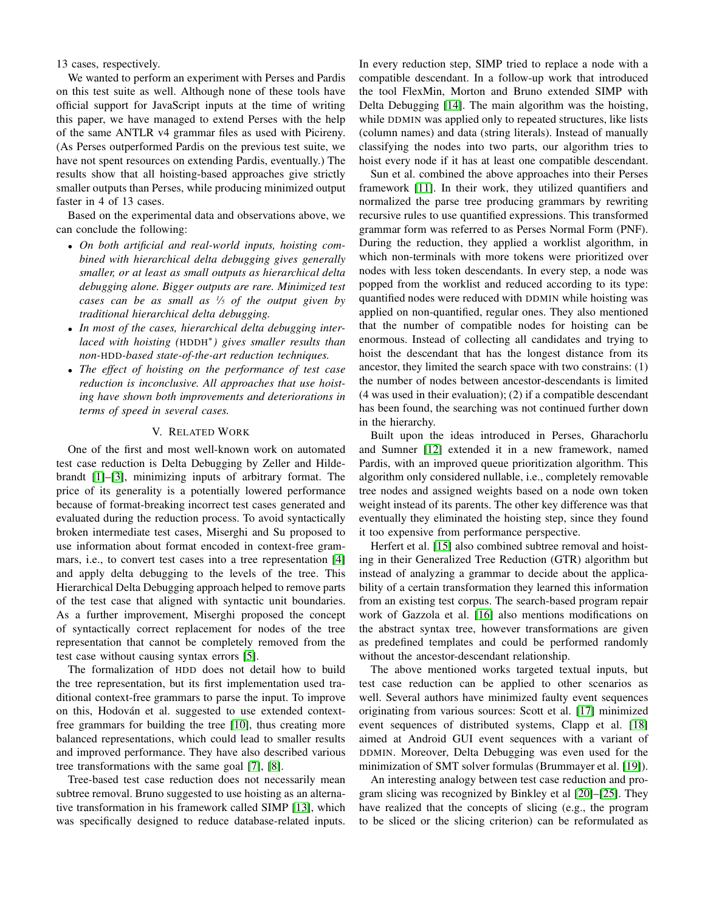13 cases, respectively.

We wanted to perform an experiment with Perses and Pardis on this test suite as well. Although none of these tools have official support for JavaScript inputs at the time of writing this paper, we have managed to extend Perses with the help of the same ANTLR v4 grammar files as used with Picireny. (As Perses outperformed Pardis on the previous test suite, we have not spent resources on extending Pardis, eventually.) The results show that all hoisting-based approaches give strictly smaller outputs than Perses, while producing minimized output faster in 4 of 13 cases.

Based on the experimental data and observations above, we can conclude the following:

- *On both artificial and real-world inputs, hoisting combined with hierarchical delta debugging gives generally smaller, or at least as small outputs as hierarchical delta debugging alone. Bigger outputs are rare. Minimized test cases can be as small as <sup>1</sup> ⁄<sup>5</sup> of the output given by traditional hierarchical delta debugging.*
- *In most of the cases, hierarchical delta debugging interlaced with hoisting (*HDDH<sup>∗</sup> *) gives smaller results than non-*HDD*-based state-of-the-art reduction techniques.*
- *The effect of hoisting on the performance of test case reduction is inconclusive. All approaches that use hoisting have shown both improvements and deteriorations in terms of speed in several cases.*

## V. RELATED WORK

<span id="page-8-0"></span>One of the first and most well-known work on automated test case reduction is Delta Debugging by Zeller and Hildebrandt [\[1\]](#page-9-0)–[\[3\]](#page-9-1), minimizing inputs of arbitrary format. The price of its generality is a potentially lowered performance because of format-breaking incorrect test cases generated and evaluated during the reduction process. To avoid syntactically broken intermediate test cases, Miserghi and Su proposed to use information about format encoded in context-free grammars, i.e., to convert test cases into a tree representation [\[4\]](#page-9-2) and apply delta debugging to the levels of the tree. This Hierarchical Delta Debugging approach helped to remove parts of the test case that aligned with syntactic unit boundaries. As a further improvement, Miserghi proposed the concept of syntactically correct replacement for nodes of the tree representation that cannot be completely removed from the test case without causing syntax errors [\[5\]](#page-9-3).

The formalization of HDD does not detail how to build the tree representation, but its first implementation used traditional context-free grammars to parse the input. To improve on this, Hodován et al. suggested to use extended contextfree grammars for building the tree [\[10\]](#page-9-6), thus creating more balanced representations, which could lead to smaller results and improved performance. They have also described various tree transformations with the same goal [\[7\]](#page-9-8), [\[8\]](#page-9-9).

Tree-based test case reduction does not necessarily mean subtree removal. Bruno suggested to use hoisting as an alternative transformation in his framework called SIMP [\[13\]](#page-9-12), which was specifically designed to reduce database-related inputs. In every reduction step, SIMP tried to replace a node with a compatible descendant. In a follow-up work that introduced the tool FlexMin, Morton and Bruno extended SIMP with Delta Debugging [\[14\]](#page-9-13). The main algorithm was the hoisting, while DDMIN was applied only to repeated structures, like lists (column names) and data (string literals). Instead of manually classifying the nodes into two parts, our algorithm tries to hoist every node if it has at least one compatible descendant.

Sun et al. combined the above approaches into their Perses framework [\[11\]](#page-9-10). In their work, they utilized quantifiers and normalized the parse tree producing grammars by rewriting recursive rules to use quantified expressions. This transformed grammar form was referred to as Perses Normal Form (PNF). During the reduction, they applied a worklist algorithm, in which non-terminals with more tokens were prioritized over nodes with less token descendants. In every step, a node was popped from the worklist and reduced according to its type: quantified nodes were reduced with DDMIN while hoisting was applied on non-quantified, regular ones. They also mentioned that the number of compatible nodes for hoisting can be enormous. Instead of collecting all candidates and trying to hoist the descendant that has the longest distance from its ancestor, they limited the search space with two constrains: (1) the number of nodes between ancestor-descendants is limited (4 was used in their evaluation); (2) if a compatible descendant has been found, the searching was not continued further down in the hierarchy.

Built upon the ideas introduced in Perses, Gharachorlu and Sumner [\[12\]](#page-9-11) extended it in a new framework, named Pardis, with an improved queue prioritization algorithm. This algorithm only considered nullable, i.e., completely removable tree nodes and assigned weights based on a node own token weight instead of its parents. The other key difference was that eventually they eliminated the hoisting step, since they found it too expensive from performance perspective.

Herfert et al. [\[15\]](#page-9-14) also combined subtree removal and hoisting in their Generalized Tree Reduction (GTR) algorithm but instead of analyzing a grammar to decide about the applicability of a certain transformation they learned this information from an existing test corpus. The search-based program repair work of Gazzola et al. [\[16\]](#page-9-15) also mentions modifications on the abstract syntax tree, however transformations are given as predefined templates and could be performed randomly without the ancestor-descendant relationship.

The above mentioned works targeted textual inputs, but test case reduction can be applied to other scenarios as well. Several authors have minimized faulty event sequences originating from various sources: Scott et al. [\[17\]](#page-9-16) minimized event sequences of distributed systems, Clapp et al. [\[18\]](#page-9-17) aimed at Android GUI event sequences with a variant of DDMIN. Moreover, Delta Debugging was even used for the minimization of SMT solver formulas (Brummayer et al. [\[19\]](#page-9-18)).

An interesting analogy between test case reduction and program slicing was recognized by Binkley et al [\[20\]](#page-9-19)–[\[25\]](#page-9-20). They have realized that the concepts of slicing (e.g., the program to be sliced or the slicing criterion) can be reformulated as